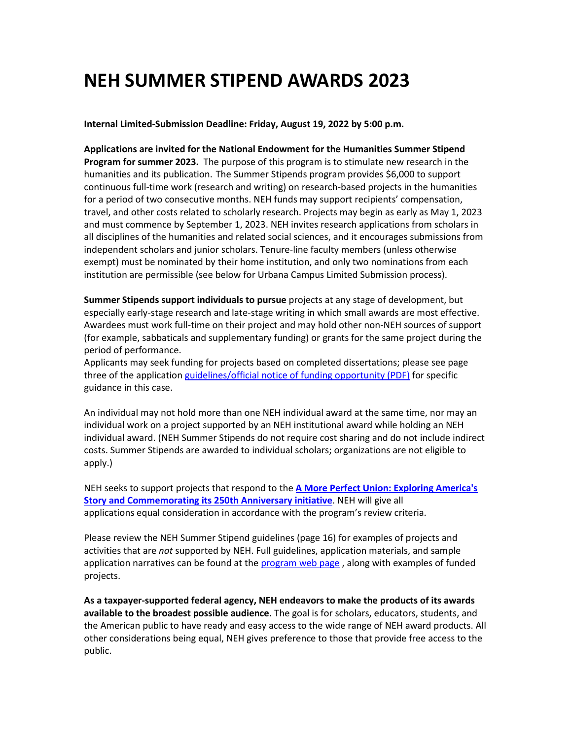# **NEH SUMMER STIPEND AWARDS 2023**

**Internal Limited-Submission Deadline: Friday, August 19, 2022 by 5:00 p.m.**

**Applications are invited for the National Endowment for the Humanities Summer Stipend Program for summer 2023.** The purpose of this program is to stimulate new research in the humanities and its publication. The Summer Stipends program provides \$6,000 to support continuous full-time work (research and writing) on research-based projects in the humanities for a period of two consecutive months. NEH funds may support recipients' compensation, travel, and other costs related to scholarly research. Projects may begin as early as May 1, 2023 and must commence by September 1, 2023. NEH invites research applications from scholars in all disciplines of the humanities and related social sciences, and it encourages submissions from independent scholars and junior scholars. Tenure-line faculty members (unless otherwise exempt) must be nominated by their home institution, and only two nominations from each institution are permissible (see below for Urbana Campus Limited Submission process).

**Summer Stipends support individuals to pursue** projects at any stage of development, but especially early-stage research and late-stage writing in which small awards are most effective. Awardees must work full-time on their project and may hold other non-NEH sources of support (for example, sabbaticals and supplementary funding) or grants for the same project during the period of performance.

Applicants may seek funding for projects based on completed dissertations; please see page three of the application [guidelines/official notice of funding opportunity](https://www.neh.gov/sites/default/files/inline-files/Summer%20Stipends%202022%20and%202023.pdf) (PDF) for specific guidance in this case.

An individual may not hold more than one NEH individual award at the same time, nor may an individual work on a project supported by an NEH institutional award while holding an NEH individual award. (NEH Summer Stipends do not require cost sharing and do not include indirect costs. Summer Stipends are awarded to individual scholars; organizations are not eligible to apply.)

NEH seeks to support projects that respond to the **[A More Perfect Union: Exploring America's](https://www.neh.gov/250)  [Story and Commemorating its 250th Anniversary initiative](https://www.neh.gov/250)**. NEH will give all applications equal consideration in accordance with the program's review criteria.

Please review the NEH Summer Stipend guidelines (page 16) for examples of projects and activities that are *not* supported by NEH. Full guidelines, application materials, and sample application narratives can be found at the [program web page](https://www.neh.gov/grants/research/summer-stipends), along with examples of funded projects.

**As a taxpayer-supported federal agency, NEH endeavors to make the products of its awards available to the broadest possible audience.** The goal is for scholars, educators, students, and the American public to have ready and easy access to the wide range of NEH award products. All other considerations being equal, NEH gives preference to those that provide free access to the public.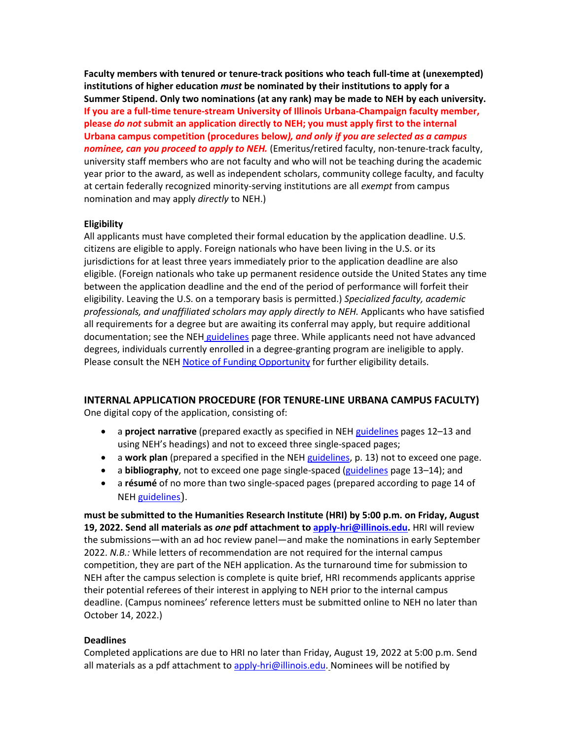**Faculty members with tenured or tenure-track positions who teach full-time at (unexempted) institutions of higher education** *must* **be nominated by their institutions to apply for a Summer Stipend. Only two nominations (at any rank) may be made to NEH by each university. If you are a full-time tenure-stream University of Illinois Urbana-Champaign faculty member, please** *do not* **submit an application directly to NEH; you must apply first to the internal Urbana campus competition (procedures below***), and only if you are selected as a campus nominee, can you proceed to apply to NEH.* (Emeritus/retired faculty, non-tenure-track faculty, university staff members who are not faculty and who will not be teaching during the academic year prior to the award, as well as independent scholars, community college faculty, and faculty at certain federally recognized minority-serving institutions are all *exempt* from campus nomination and may apply *directly* to NEH.)

### **Eligibility**

All applicants must have completed their formal education by the application deadline. U.S. citizens are eligible to apply. Foreign nationals who have been living in the U.S. or its jurisdictions for at least three years immediately prior to the application deadline are also eligible. (Foreign nationals who take up permanent residence outside the United States any time between the application deadline and the end of the period of performance will forfeit their eligibility. Leaving the U.S. on a temporary basis is permitted.) *Specialized faculty, academic professionals, and unaffiliated scholars may apply directly to NEH.* Applicants who have satisfied all requirements for a degree but are awaiting its conferral may apply, but require additional documentation; see the NEH [guidelines](https://www.neh.gov/sites/default/files/inline-files/Summer%20Stipends%202022%20and%202023.pdf) page three. While applicants need not have advanced degrees, individuals currently enrolled in a degree-granting program are ineligible to apply. Please consult the NE[H Notice of Funding Opportunity](https://www.neh.gov/sites/default/files/inline-files/Summer%20Stipends%202022%20and%202023.pdf) for further eligibility details.

## **INTERNAL APPLICATION PROCEDURE (FOR TENURE-LINE URBANA CAMPUS FACULTY)**

One digital copy of the application, consisting of:

- a **project narrative** (prepared exactly as specified in NEH [guidelines](https://www.neh.gov/sites/default/files/inline-files/Summer%20Stipends%202022%20and%202023.pdf) pages 12–13 and using NEH's headings) and not to exceed three single-spaced pages;
- a **work plan** (prepared a specified in the NEH [guidelines,](https://www.neh.gov/sites/default/files/inline-files/Summer%20Stipends%202022%20and%202023.pdf) p. 13) not to exceed one page.
- a **bibliography**, not to exceed one page single-spaced [\(guidelines](https://www.neh.gov/sites/default/files/inline-files/Summer%20Stipends%202022%20and%202023.pdf) page 13–14); and
- a **résumé** of no more than two single-spaced pages (prepared according to page 14 of NEH [guidelines](https://www.neh.gov/sites/default/files/inline-files/Summer%20Stipends%202022%20and%202023.pdf)).

**must be submitted to the Humanities Research Institute (HRI) by 5:00 p.m. on Friday, August 19, 2022. Send all materials as** *one* **pdf attachment to [apply-hri@illinois.edu.](mailto:apply-hri@illinois.edu)** HRI will review the submissions—with an ad hoc review panel—and make the nominations in early September 2022. *N.B.:* While letters of recommendation are not required for the internal campus competition, they are part of the NEH application. As the turnaround time for submission to NEH after the campus selection is complete is quite brief, HRI recommends applicants apprise their potential referees of their interest in applying to NEH prior to the internal campus deadline. (Campus nominees' reference letters must be submitted online to NEH no later than October 14, 2022.)

## **Deadlines**

Completed applications are due to HRI no later than Friday, August 19, 2022 at 5:00 p.m. Send all materials as a pdf attachment t[o apply-hri@illinois.edu.](mailto:apply-hri@illinois.edu) Nominees will be notified by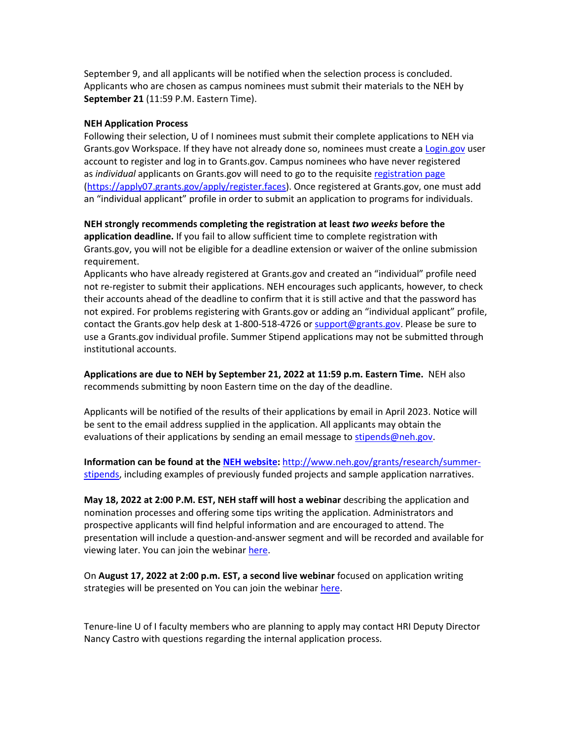September 9, and all applicants will be notified when the selection process is concluded. Applicants who are chosen as campus nominees must submit their materials to the NEH by **September 21** (11:59 P.M. Eastern Time).

### **NEH Application Process**

Following their selection, U of I nominees must submit their complete applications to NEH via Grants.gov Workspace. If they have not already done so, nominees must create a [Login.gov](https://www.login.gov/) user account to register and log in to Grants.gov. Campus nominees who have never registered as *individual* applicants on Grants.gov will need to go to the requisit[e registration page](https://apply07.grants.gov/apply/register.faces) [\(https://apply07.grants.gov/apply/register.faces\)](https://apply07.grants.gov/apply/register.faces). Once registered at Grants.gov, one must add an "individual applicant" profile in order to submit an application to programs for individuals.

**NEH strongly recommends completing the registration at least** *two weeks* **before the application deadline.** If you fail to allow sufficient time to complete registration with Grants.gov, you will not be eligible for a deadline extension or waiver of the online submission requirement.

Applicants who have already registered at Grants.gov and created an "individual" profile need not re-register to submit their applications. NEH encourages such applicants, however, to check their accounts ahead of the deadline to confirm that it is still active and that the password has not expired. For problems registering with Grants.gov or adding an "individual applicant" profile, contact the Grants.gov help desk at 1-800-518-4726 or [support@grants.gov.](mailto:support@grants.gov) Please be sure to use a Grants.gov individual profile. Summer Stipend applications may not be submitted through institutional accounts.

**Applications are due to NEH by September 21, 2022 at 11:59 p.m. Eastern Time.** NEH also recommends submitting by noon Eastern time on the day of the deadline.

Applicants will be notified of the results of their applications by email in April 2023. Notice will be sent to the email address supplied in the application. All applicants may obtain the evaluations of their applications by sending an email message to stipends@neh.gov.

**Information can be found at th[e NEH website:](http://www.neh.gov/grants/research/summer-stipends)** [http://www.neh.gov/grants/research/summer](http://www.neh.gov/grants/research/summer-stipends)[stipends,](http://www.neh.gov/grants/research/summer-stipends) including examples of previously funded projects and sample application narratives.

**May 18, 2022 at 2:00 P.M. EST, NEH staff will host a webinar** describing the application and nomination processes and offering some tips writing the application. Administrators and prospective applicants will find helpful information and are encouraged to attend. The presentation will include a question-and-answer segment and will be recorded and available for viewing later. You can join the webinar [here.](https://teams.microsoft.com/dl/launcher/launcher.html?url=%2F_%23%2Fl%2Fmeetup-join%2F19%3Ameeting_NWFiZmEyMDEtMTVkMS00NTYzLWExZDctMjljNzQ2ZGU1Mjc3%40thread.v2%2F0%3Fcontext%3D%257b%2522Tid%2522%253a%252293b06459-c77d-44b6-af7f-e813cddcdcc3%2522%252c%2522Oid%2522%253a%2522f1948567-bcbd-4b01-8149-2f869eaf44e4%2522%252c%2522IsBroadcastMeeting%2522%253atrue%257d%26btype%3Da%26role%3Da%26anon%3Dtrue&type=meetup-join&deeplinkId=f42cadac-2e5e-4e64-9a7a-687dc823b40a&directDl=true&msLaunch=true&enableMobilePage=true&suppressPrompt=true)

On **August 17, 2022 at 2:00 p.m. EST, a second live webinar** focused on application writing strategies will be presented on You can join the webinar [here.](https://gcc02.safelinks.protection.outlook.com/ap/t-59584e83/?url=https%3A%2F%2Fteams.microsoft.com%2Fl%2Fmeetup-join%2F19%253ameeting_MzI2OTM5MjMtOTM1Ny00ZTQyLThlODMtZDczNTQ5ZDBkMjU5%2540thread.v2%2F0%3Fcontext%3D%257b%2522Tid%2522%253a%252293b06459-c77d-44b6-af7f-e813cddcdcc3%2522%252c%2522Oid%2522%253a%2522f1948567-bcbd-4b01-8149-2f869eaf44e4%2522%252c%2522IsBroadcastMeeting%2522%253atrue%257d%26btype%3Da%26role%3Da&data=04%7C01%7Csshook%40neh.gov%7C8f8e483308f34570faa608da18ac96fd%7C93b06459c77d44b6af7fe813cddcdcc3%7C0%7C0%7C637849426934152551%7CUnknown%7CTWFpbGZsb3d8eyJWIjoiMC4wLjAwMDAiLCJQIjoiV2luMzIiLCJBTiI6Ik1haWwiLCJXVCI6Mn0%3D%7C3000&sdata=OEtl9NPkKhxWsq7gf3whR4iHZBAvwtC5X48IpdxQrKk%3D&reserved=0)

Tenure-line U of I faculty members who are planning to apply may contact HRI Deputy Director Nancy Castro with questions regarding the internal application process.